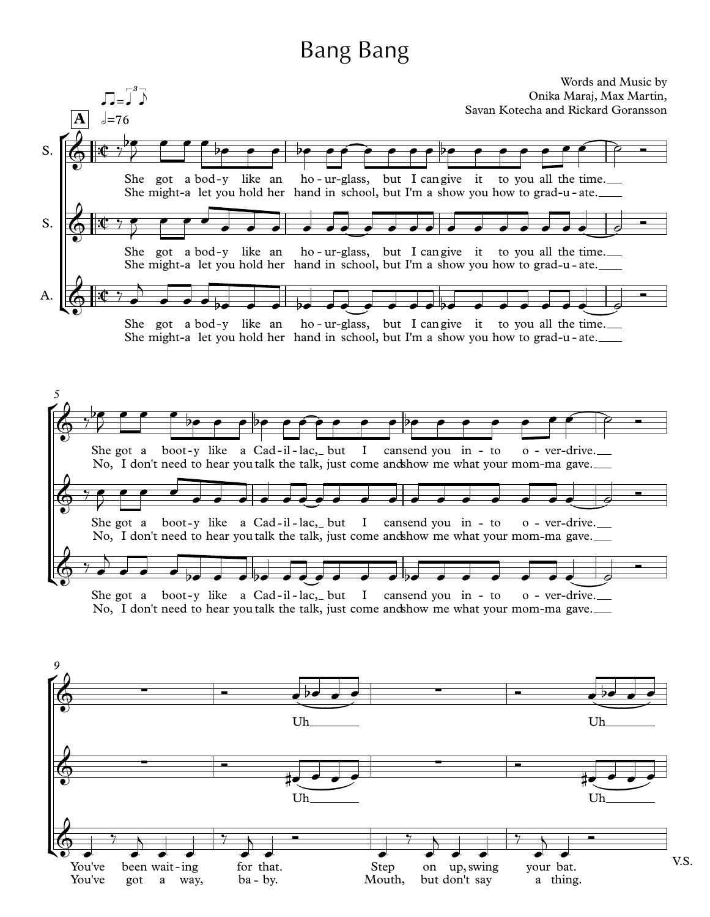## Bang Bang

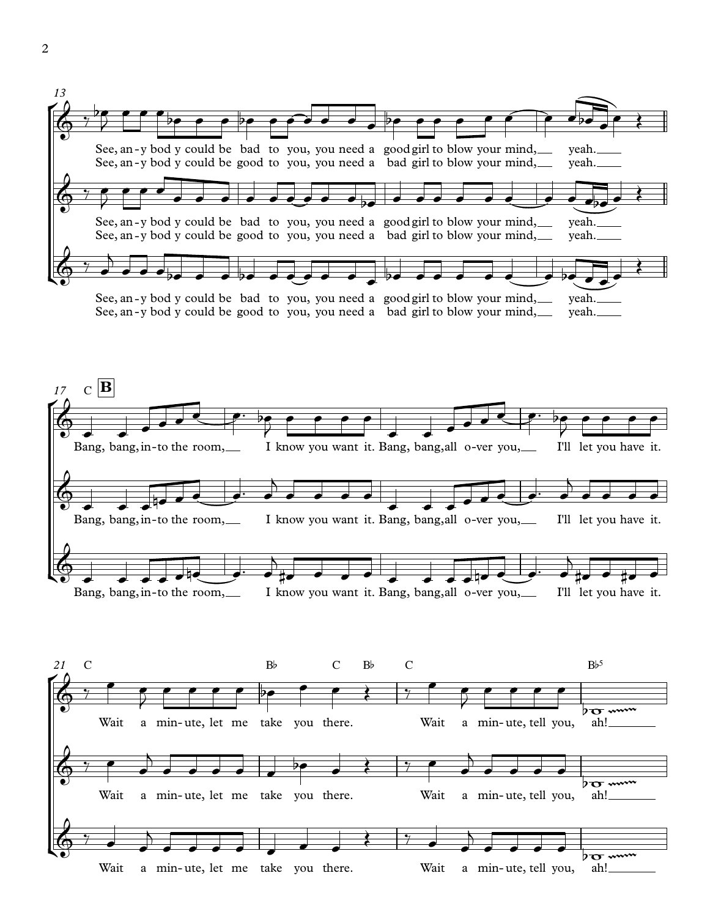





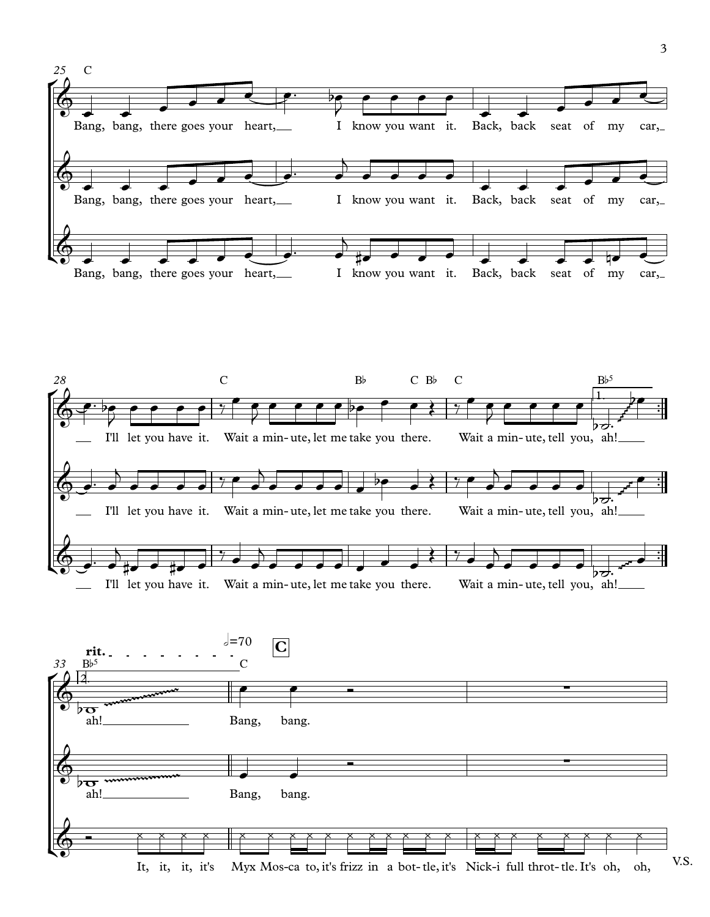



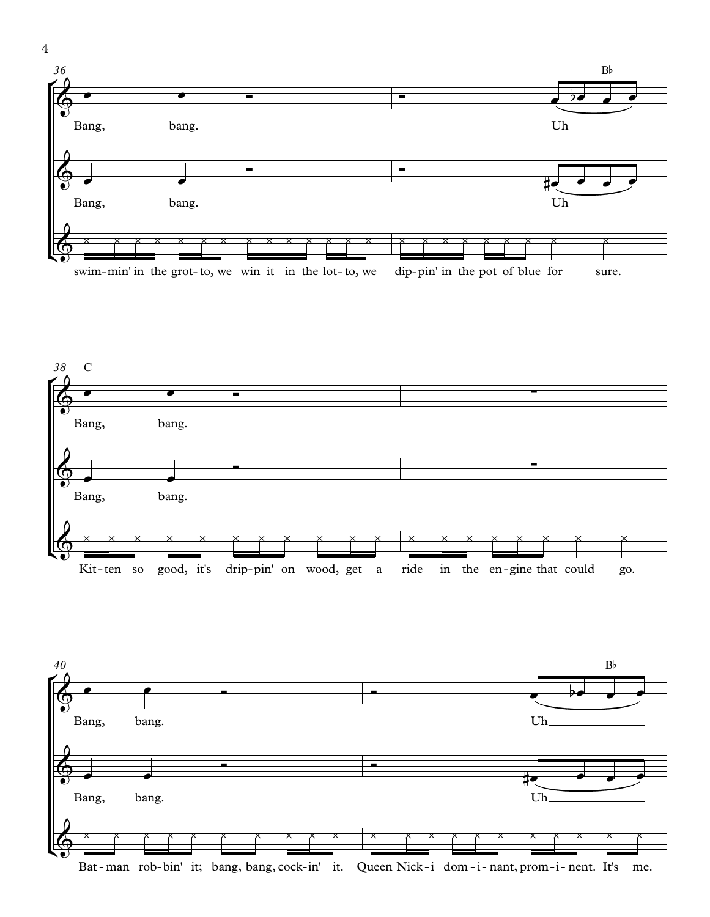





 $\overline{4}$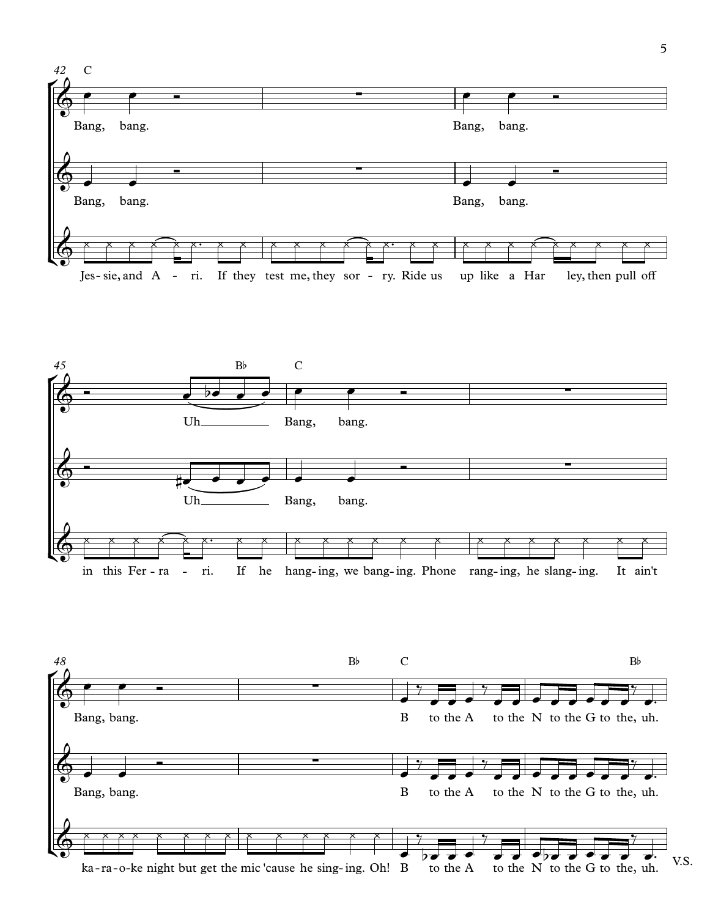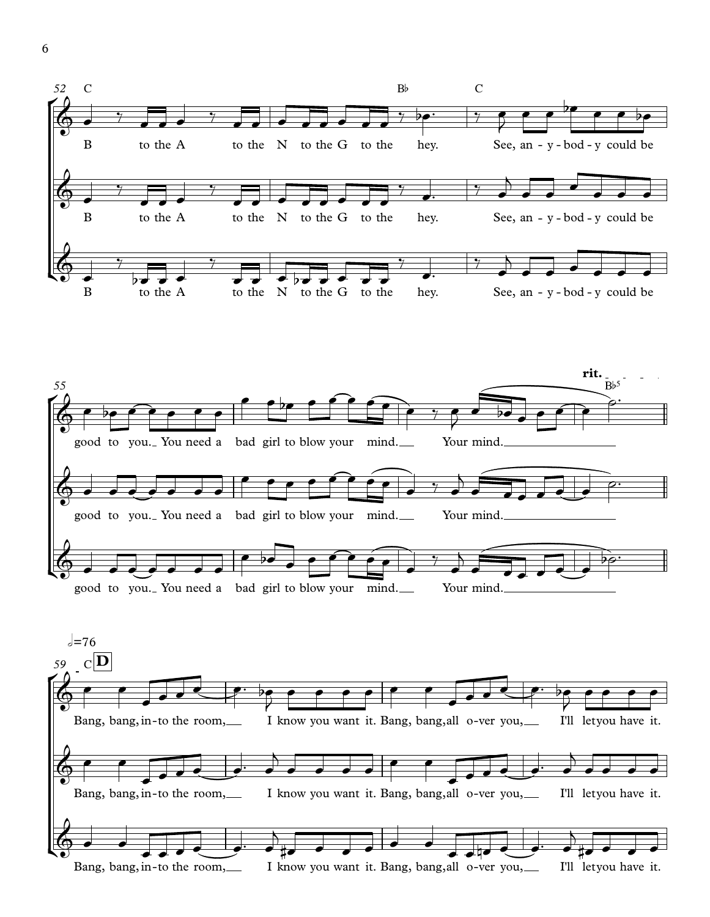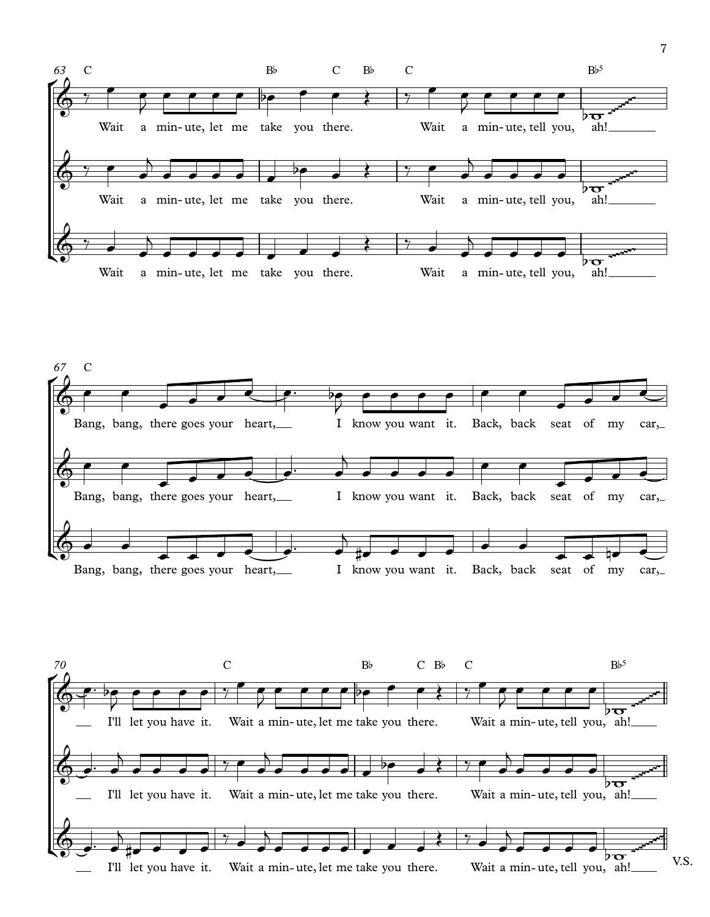



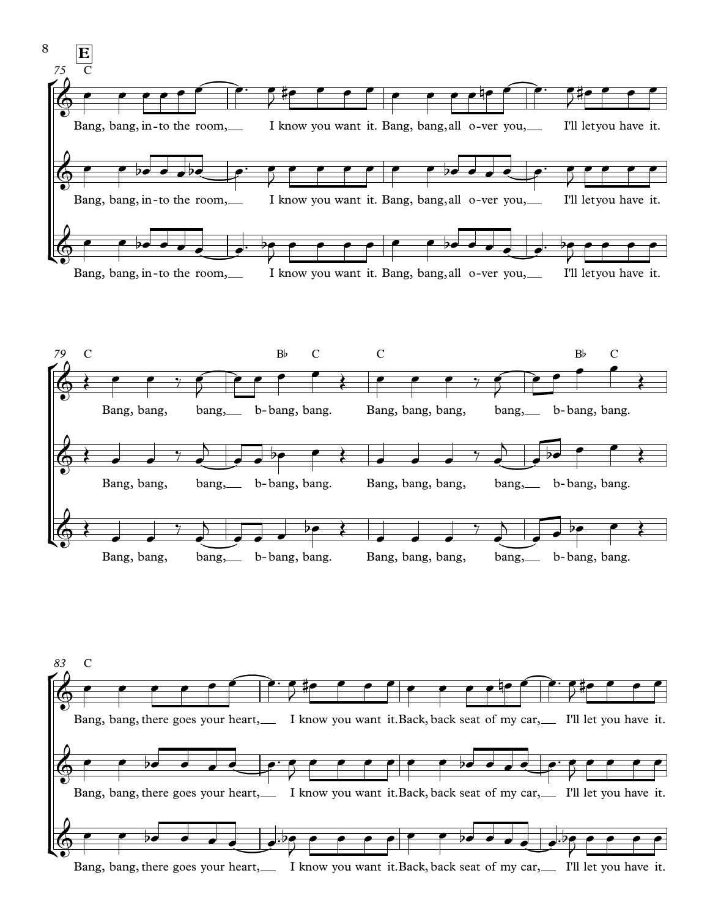